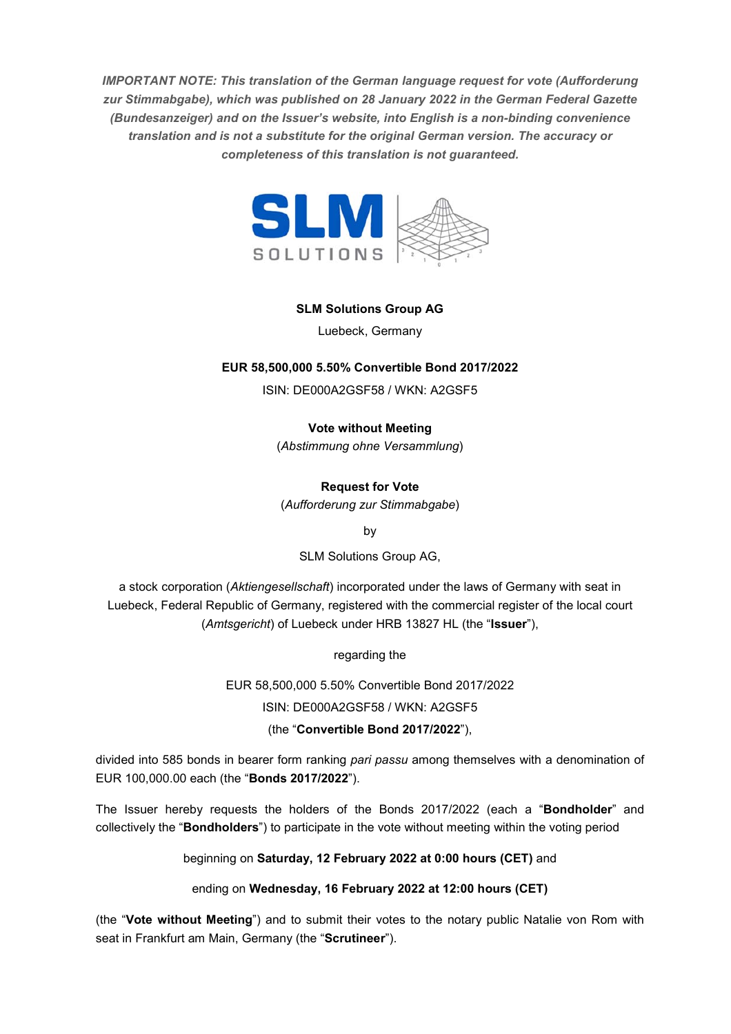*IMPORTANT NOTE: This translation of the German language request for vote (Aufforderung zur Stimmabgabe), which was published on 28 January 2022 in the German Federal Gazette (Bundesanzeiger) and on the Issuer's website, into English is a non-binding convenience translation and is not a substitute for the original German version. The accuracy or completeness of this translation is not guaranteed.* 



## **SLM Solutions Group AG**

Luebeck, Germany

## **EUR 58,500,000 5.50% Convertible Bond 2017/2022**

ISIN: DE000A2GSF58 / WKN: A2GSF5

**Vote without Meeting** 

(*Abstimmung ohne Versammlung*)

# **Request for Vote**

(*Aufforderung zur Stimmabgabe*)

by

SLM Solutions Group AG,

a stock corporation (*Aktiengesellschaft*) incorporated under the laws of Germany with seat in Luebeck, Federal Republic of Germany, registered with the commercial register of the local court (*Amtsgericht*) of Luebeck under HRB 13827 HL (the "**Issuer**"),

regarding the

EUR 58,500,000 5.50% Convertible Bond 2017/2022

ISIN: DE000A2GSF58 / WKN: A2GSF5

(the "**Convertible Bond 2017/2022**"),

divided into 585 bonds in bearer form ranking *pari passu* among themselves with a denomination of EUR 100,000.00 each (the "**Bonds 2017/2022**").

The Issuer hereby requests the holders of the Bonds 2017/2022 (each a "**Bondholder**" and collectively the "**Bondholders**") to participate in the vote without meeting within the voting period

beginning on **Saturday, 12 February 2022 at 0:00 hours (CET)** and

ending on **Wednesday, 16 February 2022 at 12:00 hours (CET)** 

(the "**Vote without Meeting**") and to submit their votes to the notary public Natalie von Rom with seat in Frankfurt am Main, Germany (the "**Scrutineer**").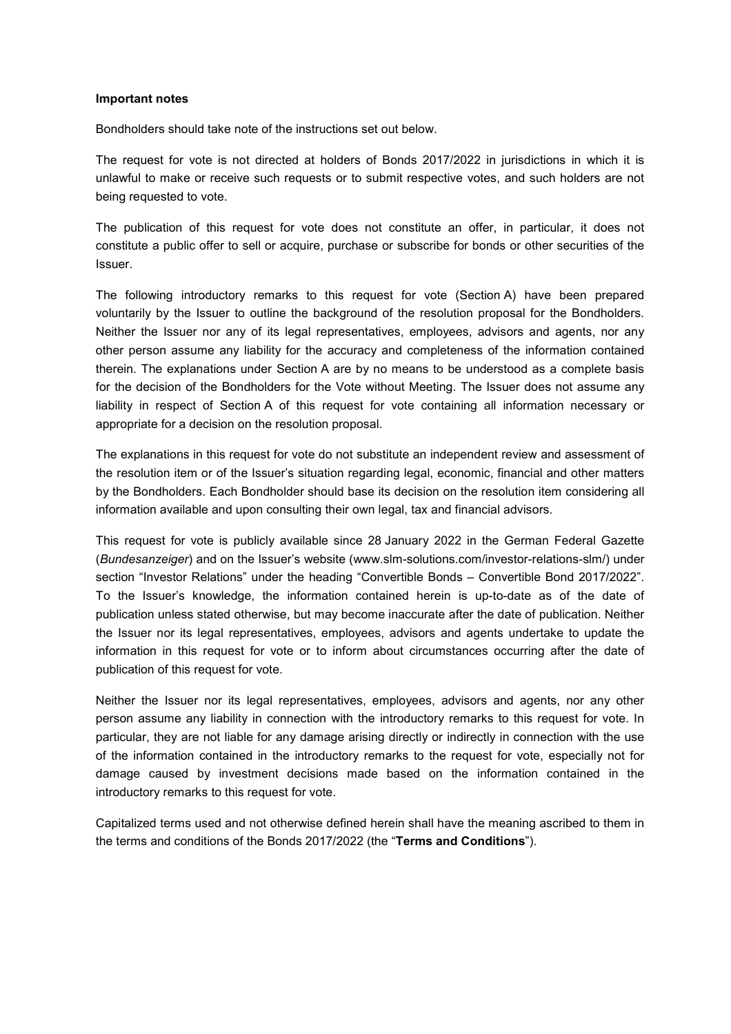#### **Important notes**

Bondholders should take note of the instructions set out below.

The request for vote is not directed at holders of Bonds 2017/2022 in jurisdictions in which it is unlawful to make or receive such requests or to submit respective votes, and such holders are not being requested to vote.

The publication of this request for vote does not constitute an offer, in particular, it does not constitute a public offer to sell or acquire, purchase or subscribe for bonds or other securities of the Issuer.

The following introductory remarks to this request for vote (Section A) have been prepared voluntarily by the Issuer to outline the background of the resolution proposal for the Bondholders. Neither the Issuer nor any of its legal representatives, employees, advisors and agents, nor any other person assume any liability for the accuracy and completeness of the information contained therein. The explanations under Section A are by no means to be understood as a complete basis for the decision of the Bondholders for the Vote without Meeting. The Issuer does not assume any liability in respect of Section A of this request for vote containing all information necessary or appropriate for a decision on the resolution proposal.

The explanations in this request for vote do not substitute an independent review and assessment of the resolution item or of the Issuer's situation regarding legal, economic, financial and other matters by the Bondholders. Each Bondholder should base its decision on the resolution item considering all information available and upon consulting their own legal, tax and financial advisors.

This request for vote is publicly available since 28 January 2022 in the German Federal Gazette (*Bundesanzeiger*) and on the Issuer's website (www.slm-solutions.com/investor-relations-slm/) under section "Investor Relations" under the heading "Convertible Bonds – Convertible Bond 2017/2022". To the Issuer's knowledge, the information contained herein is up-to-date as of the date of publication unless stated otherwise, but may become inaccurate after the date of publication. Neither the Issuer nor its legal representatives, employees, advisors and agents undertake to update the information in this request for vote or to inform about circumstances occurring after the date of publication of this request for vote.

Neither the Issuer nor its legal representatives, employees, advisors and agents, nor any other person assume any liability in connection with the introductory remarks to this request for vote. In particular, they are not liable for any damage arising directly or indirectly in connection with the use of the information contained in the introductory remarks to the request for vote, especially not for damage caused by investment decisions made based on the information contained in the introductory remarks to this request for vote.

Capitalized terms used and not otherwise defined herein shall have the meaning ascribed to them in the terms and conditions of the Bonds 2017/2022 (the "**Terms and Conditions**").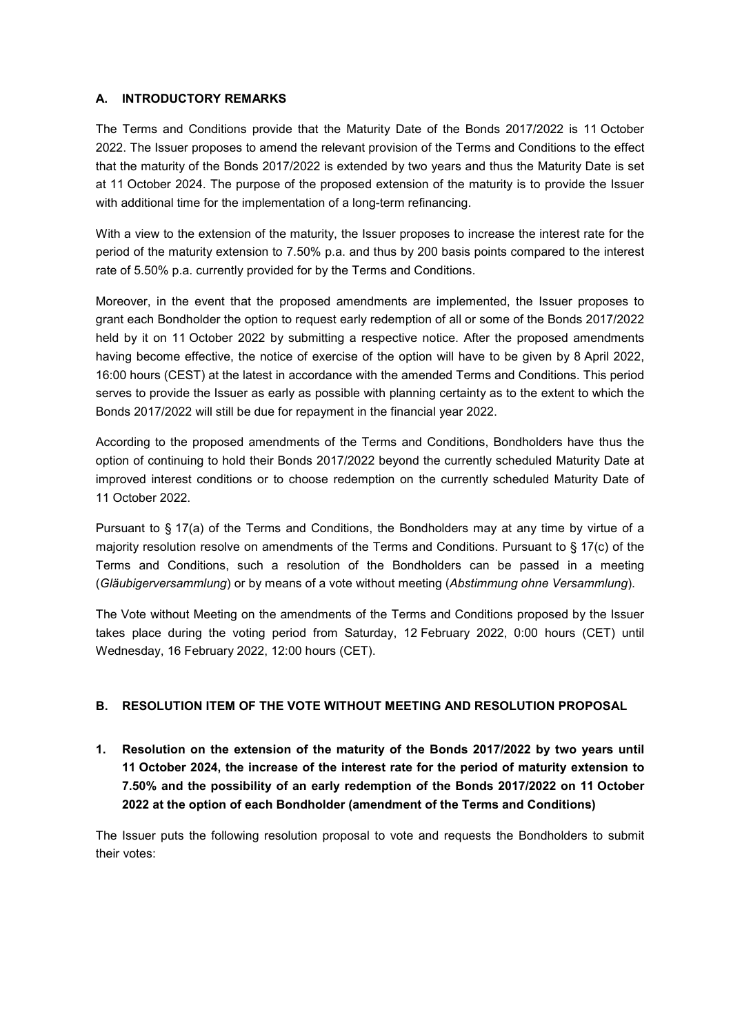## **A. INTRODUCTORY REMARKS**

The Terms and Conditions provide that the Maturity Date of the Bonds 2017/2022 is 11 October 2022. The Issuer proposes to amend the relevant provision of the Terms and Conditions to the effect that the maturity of the Bonds 2017/2022 is extended by two years and thus the Maturity Date is set at 11 October 2024. The purpose of the proposed extension of the maturity is to provide the Issuer with additional time for the implementation of a long-term refinancing.

With a view to the extension of the maturity, the Issuer proposes to increase the interest rate for the period of the maturity extension to 7.50% p.a. and thus by 200 basis points compared to the interest rate of 5.50% p.a. currently provided for by the Terms and Conditions.

Moreover, in the event that the proposed amendments are implemented, the Issuer proposes to grant each Bondholder the option to request early redemption of all or some of the Bonds 2017/2022 held by it on 11 October 2022 by submitting a respective notice. After the proposed amendments having become effective, the notice of exercise of the option will have to be given by 8 April 2022, 16:00 hours (CEST) at the latest in accordance with the amended Terms and Conditions. This period serves to provide the Issuer as early as possible with planning certainty as to the extent to which the Bonds 2017/2022 will still be due for repayment in the financial year 2022.

According to the proposed amendments of the Terms and Conditions, Bondholders have thus the option of continuing to hold their Bonds 2017/2022 beyond the currently scheduled Maturity Date at improved interest conditions or to choose redemption on the currently scheduled Maturity Date of 11 October 2022.

Pursuant to § 17(a) of the Terms and Conditions, the Bondholders may at any time by virtue of a majority resolution resolve on amendments of the Terms and Conditions. Pursuant to § 17(c) of the Terms and Conditions, such a resolution of the Bondholders can be passed in a meeting (*Gläubigerversammlung*) or by means of a vote without meeting (*Abstimmung ohne Versammlung*).

The Vote without Meeting on the amendments of the Terms and Conditions proposed by the Issuer takes place during the voting period from Saturday, 12 February 2022, 0:00 hours (CET) until Wednesday, 16 February 2022, 12:00 hours (CET).

# **B. RESOLUTION ITEM OF THE VOTE WITHOUT MEETING AND RESOLUTION PROPOSAL**

**1. Resolution on the extension of the maturity of the Bonds 2017/2022 by two years until 11 October 2024, the increase of the interest rate for the period of maturity extension to 7.50% and the possibility of an early redemption of the Bonds 2017/2022 on 11 October 2022 at the option of each Bondholder (amendment of the Terms and Conditions)** 

The Issuer puts the following resolution proposal to vote and requests the Bondholders to submit their votes: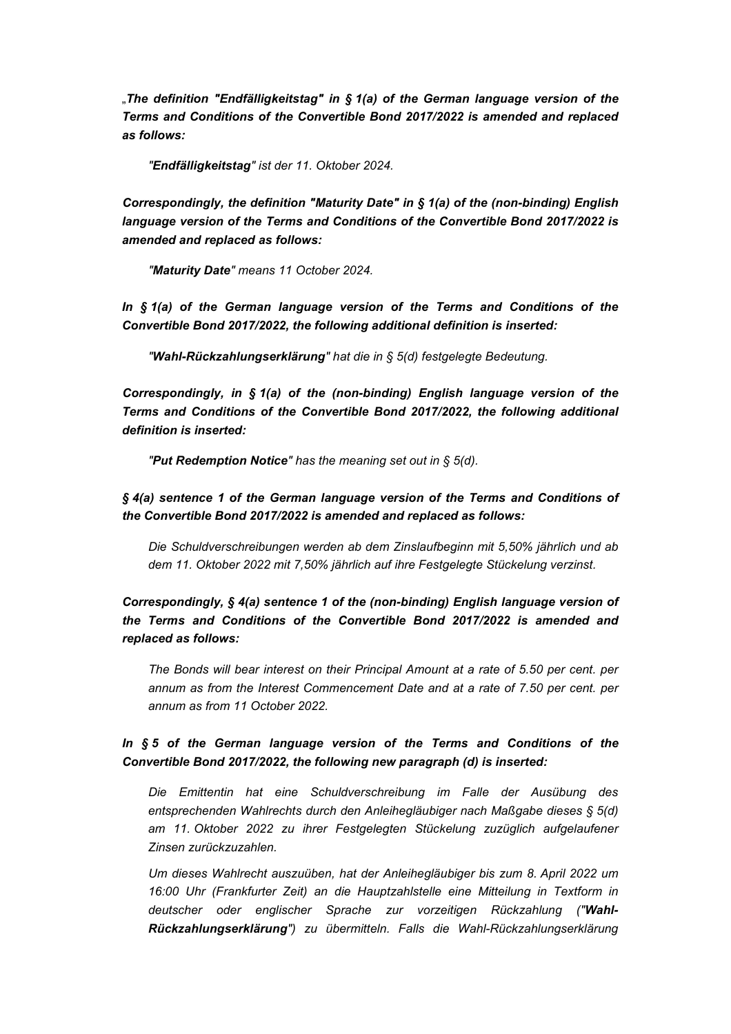"*The definition "Endfälligkeitstag" in § 1(a) of the German language version of the Terms and Conditions of the Convertible Bond 2017/2022 is amended and replaced as follows:* 

*"Endfälligkeitstag" ist der 11. Oktober 2024.* 

*Correspondingly, the definition "Maturity Date" in § 1(a) of the (non-binding) English language version of the Terms and Conditions of the Convertible Bond 2017/2022 is amended and replaced as follows:* 

*"Maturity Date" means 11 October 2024.* 

*In § 1(a) of the German language version of the Terms and Conditions of the Convertible Bond 2017/2022, the following additional definition is inserted:* 

*"Wahl-Rückzahlungserklärung" hat die in § 5(d) festgelegte Bedeutung.* 

*Correspondingly, in § 1(a) of the (non-binding) English language version of the Terms and Conditions of the Convertible Bond 2017/2022, the following additional definition is inserted:* 

*"Put Redemption Notice" has the meaning set out in § 5(d).* 

*§ 4(a) sentence 1 of the German language version of the Terms and Conditions of the Convertible Bond 2017/2022 is amended and replaced as follows:* 

*Die Schuldverschreibungen werden ab dem Zinslaufbeginn mit 5,50% jährlich und ab dem 11. Oktober 2022 mit 7,50% jährlich auf ihre Festgelegte Stückelung verzinst.* 

*Correspondingly, § 4(a) sentence 1 of the (non-binding) English language version of the Terms and Conditions of the Convertible Bond 2017/2022 is amended and replaced as follows:* 

*The Bonds will bear interest on their Principal Amount at a rate of 5.50 per cent. per annum as from the Interest Commencement Date and at a rate of 7.50 per cent. per annum as from 11 October 2022.* 

*In § 5 of the German language version of the Terms and Conditions of the Convertible Bond 2017/2022, the following new paragraph (d) is inserted:* 

*Die Emittentin hat eine Schuldverschreibung im Falle der Ausübung des entsprechenden Wahlrechts durch den Anleihegläubiger nach Maßgabe dieses § 5(d) am 11. Oktober 2022 zu ihrer Festgelegten Stückelung zuzüglich aufgelaufener Zinsen zurückzuzahlen.* 

*Um dieses Wahlrecht auszuüben, hat der Anleihegläubiger bis zum 8. April 2022 um 16:00 Uhr (Frankfurter Zeit) an die Hauptzahlstelle eine Mitteilung in Textform in deutscher oder englischer Sprache zur vorzeitigen Rückzahlung ("Wahl-Rückzahlungserklärung") zu übermitteln. Falls die Wahl-Rückzahlungserklärung*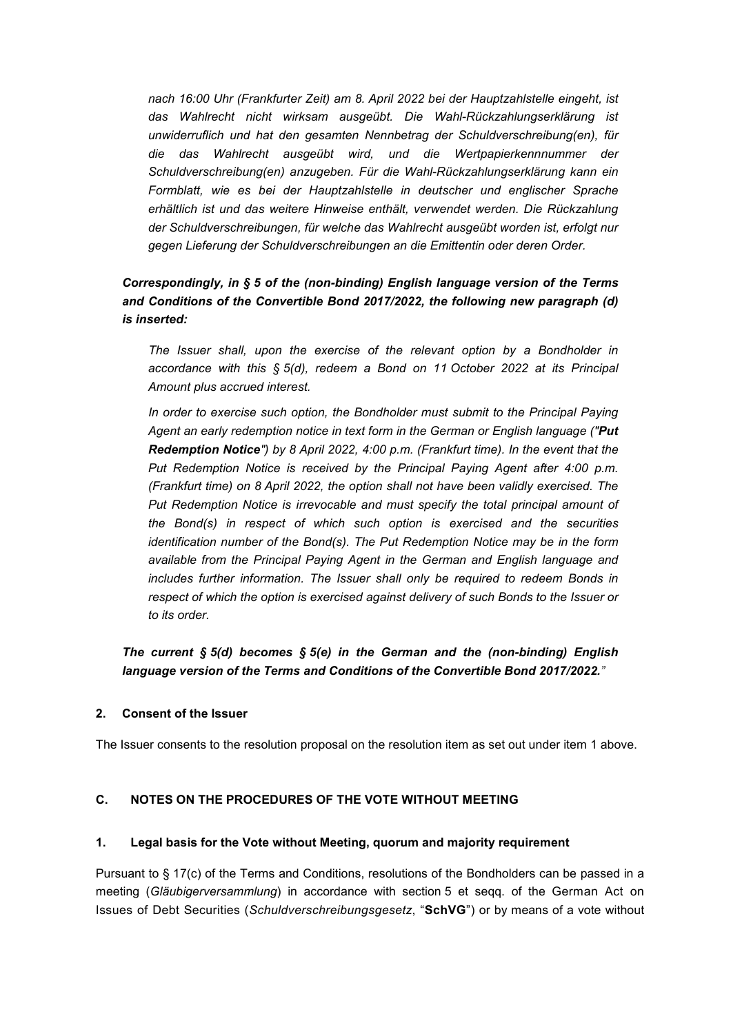*nach 16:00 Uhr (Frankfurter Zeit) am 8. April 2022 bei der Hauptzahlstelle eingeht, ist das Wahlrecht nicht wirksam ausgeübt. Die Wahl-Rückzahlungserklärung ist unwiderruflich und hat den gesamten Nennbetrag der Schuldverschreibung(en), für die das Wahlrecht ausgeübt wird, und die Wertpapierkennnummer der Schuldverschreibung(en) anzugeben. Für die Wahl-Rückzahlungserklärung kann ein Formblatt, wie es bei der Hauptzahlstelle in deutscher und englischer Sprache erhältlich ist und das weitere Hinweise enthält, verwendet werden. Die Rückzahlung der Schuldverschreibungen, für welche das Wahlrecht ausgeübt worden ist, erfolgt nur gegen Lieferung der Schuldverschreibungen an die Emittentin oder deren Order.* 

# *Correspondingly, in § 5 of the (non-binding) English language version of the Terms and Conditions of the Convertible Bond 2017/2022, the following new paragraph (d) is inserted:*

*The Issuer shall, upon the exercise of the relevant option by a Bondholder in accordance with this § 5(d), redeem a Bond on 11 October 2022 at its Principal Amount plus accrued interest.* 

In order to exercise such option, the Bondholder must submit to the Principal Paying *Agent an early redemption notice in text form in the German or English language ("Put Redemption Notice") by 8 April 2022, 4:00 p.m. (Frankfurt time). In the event that the Put Redemption Notice is received by the Principal Paying Agent after 4:00 p.m. (Frankfurt time) on 8 April 2022, the option shall not have been validly exercised. The*  Put Redemption Notice is irrevocable and must specify the total principal amount of *the Bond(s) in respect of which such option is exercised and the securities identification number of the Bond(s). The Put Redemption Notice may be in the form available from the Principal Paying Agent in the German and English language and includes further information. The Issuer shall only be required to redeem Bonds in respect of which the option is exercised against delivery of such Bonds to the Issuer or to its order.* 

*The current § 5(d) becomes § 5(e) in the German and the (non-binding) English language version of the Terms and Conditions of the Convertible Bond 2017/2022."* 

### **2. Consent of the Issuer**

The Issuer consents to the resolution proposal on the resolution item as set out under item 1 above.

### **C. NOTES ON THE PROCEDURES OF THE VOTE WITHOUT MEETING**

#### **1. Legal basis for the Vote without Meeting, quorum and majority requirement**

Pursuant to § 17(c) of the Terms and Conditions, resolutions of the Bondholders can be passed in a meeting (*Gläubigerversammlung*) in accordance with section 5 et seqq. of the German Act on Issues of Debt Securities (*Schuldverschreibungsgesetz*, "**SchVG**") or by means of a vote without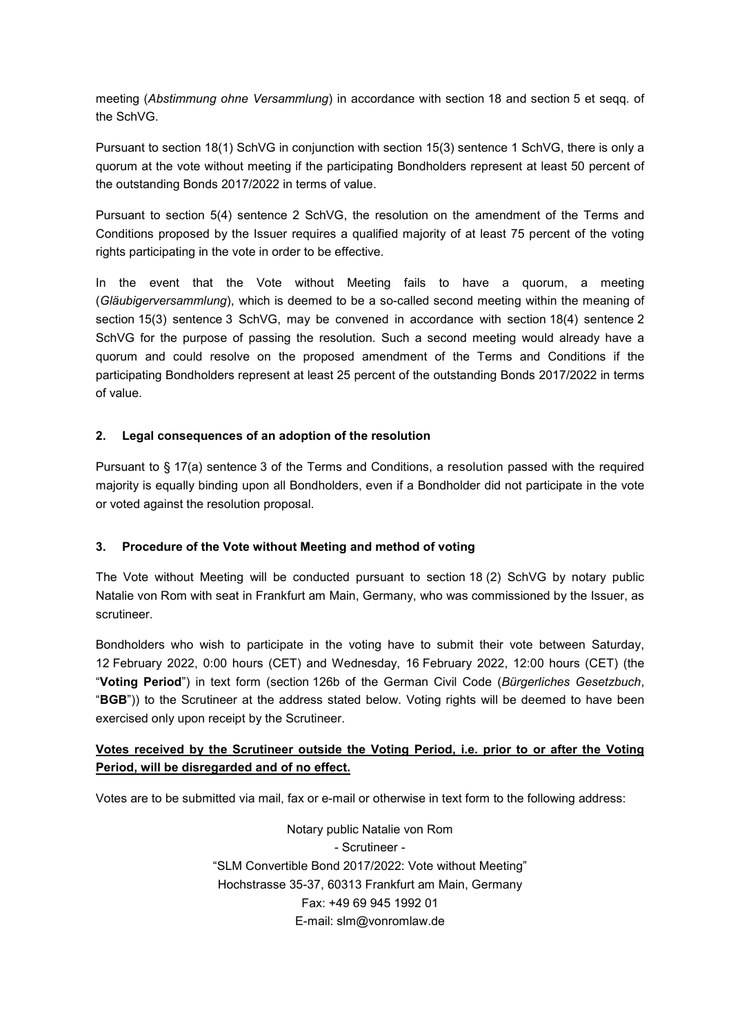meeting (*Abstimmung ohne Versammlung*) in accordance with section 18 and section 5 et seqq. of the SchVG.

Pursuant to section 18(1) SchVG in conjunction with section 15(3) sentence 1 SchVG, there is only a quorum at the vote without meeting if the participating Bondholders represent at least 50 percent of the outstanding Bonds 2017/2022 in terms of value.

Pursuant to section 5(4) sentence 2 SchVG, the resolution on the amendment of the Terms and Conditions proposed by the Issuer requires a qualified majority of at least 75 percent of the voting rights participating in the vote in order to be effective.

In the event that the Vote without Meeting fails to have a quorum, a meeting (*Gläubigerversammlung*), which is deemed to be a so-called second meeting within the meaning of section 15(3) sentence 3 SchVG, may be convened in accordance with section 18(4) sentence 2 SchVG for the purpose of passing the resolution. Such a second meeting would already have a quorum and could resolve on the proposed amendment of the Terms and Conditions if the participating Bondholders represent at least 25 percent of the outstanding Bonds 2017/2022 in terms of value.

### **2. Legal consequences of an adoption of the resolution**

Pursuant to § 17(a) sentence 3 of the Terms and Conditions, a resolution passed with the required majority is equally binding upon all Bondholders, even if a Bondholder did not participate in the vote or voted against the resolution proposal.

### **3. Procedure of the Vote without Meeting and method of voting**

The Vote without Meeting will be conducted pursuant to section 18 (2) SchVG by notary public Natalie von Rom with seat in Frankfurt am Main, Germany, who was commissioned by the Issuer, as scrutineer.

Bondholders who wish to participate in the voting have to submit their vote between Saturday, 12 February 2022, 0:00 hours (CET) and Wednesday, 16 February 2022, 12:00 hours (CET) (the "**Voting Period**") in text form (section 126b of the German Civil Code (*Bürgerliches Gesetzbuch*, "**BGB**")) to the Scrutineer at the address stated below. Voting rights will be deemed to have been exercised only upon receipt by the Scrutineer.

# **Votes received by the Scrutineer outside the Voting Period, i.e. prior to or after the Voting Period, will be disregarded and of no effect.**

Votes are to be submitted via mail, fax or e-mail or otherwise in text form to the following address:

Notary public Natalie von Rom - Scrutineer - "SLM Convertible Bond 2017/2022: Vote without Meeting" Hochstrasse 35-37, 60313 Frankfurt am Main, Germany Fax: +49 69 945 1992 01 E-mail: slm@vonromlaw.de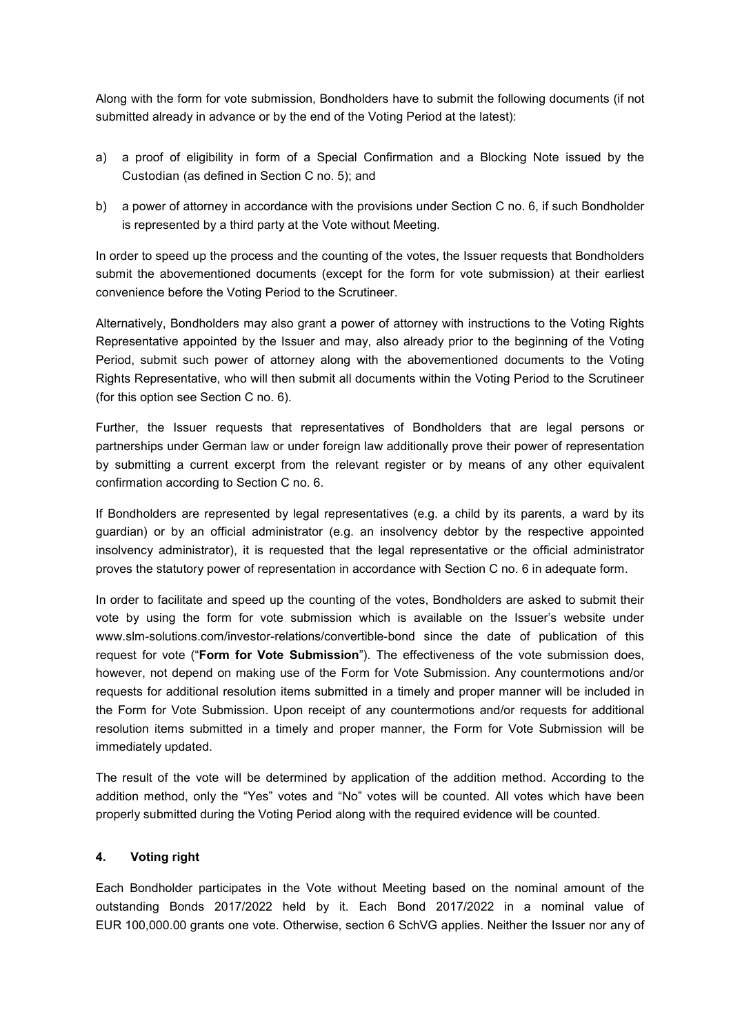Along with the form for vote submission, Bondholders have to submit the following documents (if not submitted already in advance or by the end of the Voting Period at the latest):

- a) a proof of eligibility in form of a Special Confirmation and a Blocking Note issued by the Custodian (as defined in Section C no. 5); and
- b) a power of attorney in accordance with the provisions under Section C no. 6, if such Bondholder is represented by a third party at the Vote without Meeting.

In order to speed up the process and the counting of the votes, the Issuer requests that Bondholders submit the abovementioned documents (except for the form for vote submission) at their earliest convenience before the Voting Period to the Scrutineer.

Alternatively, Bondholders may also grant a power of attorney with instructions to the Voting Rights Representative appointed by the Issuer and may, also already prior to the beginning of the Voting Period, submit such power of attorney along with the abovementioned documents to the Voting Rights Representative, who will then submit all documents within the Voting Period to the Scrutineer (for this option see Section C no. 6).

Further, the Issuer requests that representatives of Bondholders that are legal persons or partnerships under German law or under foreign law additionally prove their power of representation by submitting a current excerpt from the relevant register or by means of any other equivalent confirmation according to Section C no. 6.

If Bondholders are represented by legal representatives (e.g. a child by its parents, a ward by its guardian) or by an official administrator (e.g. an insolvency debtor by the respective appointed insolvency administrator), it is requested that the legal representative or the official administrator proves the statutory power of representation in accordance with Section C no. 6 in adequate form.

In order to facilitate and speed up the counting of the votes, Bondholders are asked to submit their vote by using the form for vote submission which is available on the Issuer's website under www.slm-solutions.com/investor-relations/convertible-bond since the date of publication of this request for vote ("**Form for Vote Submission**"). The effectiveness of the vote submission does, however, not depend on making use of the Form for Vote Submission. Any countermotions and/or requests for additional resolution items submitted in a timely and proper manner will be included in the Form for Vote Submission. Upon receipt of any countermotions and/or requests for additional resolution items submitted in a timely and proper manner, the Form for Vote Submission will be immediately updated.

The result of the vote will be determined by application of the addition method. According to the addition method, only the "Yes" votes and "No" votes will be counted. All votes which have been properly submitted during the Voting Period along with the required evidence will be counted.

### **4. Voting right**

Each Bondholder participates in the Vote without Meeting based on the nominal amount of the outstanding Bonds 2017/2022 held by it. Each Bond 2017/2022 in a nominal value of EUR 100,000.00 grants one vote. Otherwise, section 6 SchVG applies. Neither the Issuer nor any of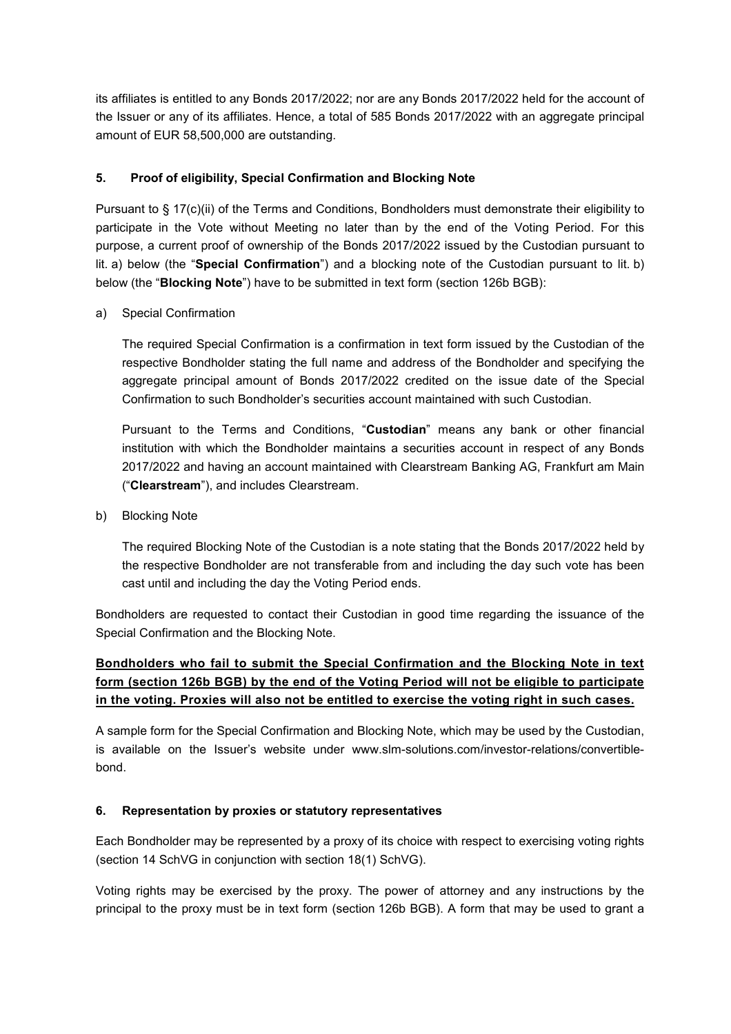its affiliates is entitled to any Bonds 2017/2022; nor are any Bonds 2017/2022 held for the account of the Issuer or any of its affiliates. Hence, a total of 585 Bonds 2017/2022 with an aggregate principal amount of EUR 58,500,000 are outstanding.

## **5. Proof of eligibility, Special Confirmation and Blocking Note**

Pursuant to § 17(c)(ii) of the Terms and Conditions, Bondholders must demonstrate their eligibility to participate in the Vote without Meeting no later than by the end of the Voting Period. For this purpose, a current proof of ownership of the Bonds 2017/2022 issued by the Custodian pursuant to lit. a) below (the "**Special Confirmation**") and a blocking note of the Custodian pursuant to lit. b) below (the "**Blocking Note**") have to be submitted in text form (section 126b BGB):

a) Special Confirmation

The required Special Confirmation is a confirmation in text form issued by the Custodian of the respective Bondholder stating the full name and address of the Bondholder and specifying the aggregate principal amount of Bonds 2017/2022 credited on the issue date of the Special Confirmation to such Bondholder's securities account maintained with such Custodian.

Pursuant to the Terms and Conditions, "**Custodian**" means any bank or other financial institution with which the Bondholder maintains a securities account in respect of any Bonds 2017/2022 and having an account maintained with Clearstream Banking AG, Frankfurt am Main ("**Clearstream**"), and includes Clearstream.

b) Blocking Note

The required Blocking Note of the Custodian is a note stating that the Bonds 2017/2022 held by the respective Bondholder are not transferable from and including the day such vote has been cast until and including the day the Voting Period ends.

Bondholders are requested to contact their Custodian in good time regarding the issuance of the Special Confirmation and the Blocking Note.

# **Bondholders who fail to submit the Special Confirmation and the Blocking Note in text form (section 126b BGB) by the end of the Voting Period will not be eligible to participate in the voting. Proxies will also not be entitled to exercise the voting right in such cases.**

A sample form for the Special Confirmation and Blocking Note, which may be used by the Custodian, is available on the Issuer's website under www.slm-solutions.com/investor-relations/convertiblebond.

# **6. Representation by proxies or statutory representatives**

Each Bondholder may be represented by a proxy of its choice with respect to exercising voting rights (section 14 SchVG in conjunction with section 18(1) SchVG).

Voting rights may be exercised by the proxy. The power of attorney and any instructions by the principal to the proxy must be in text form (section 126b BGB). A form that may be used to grant a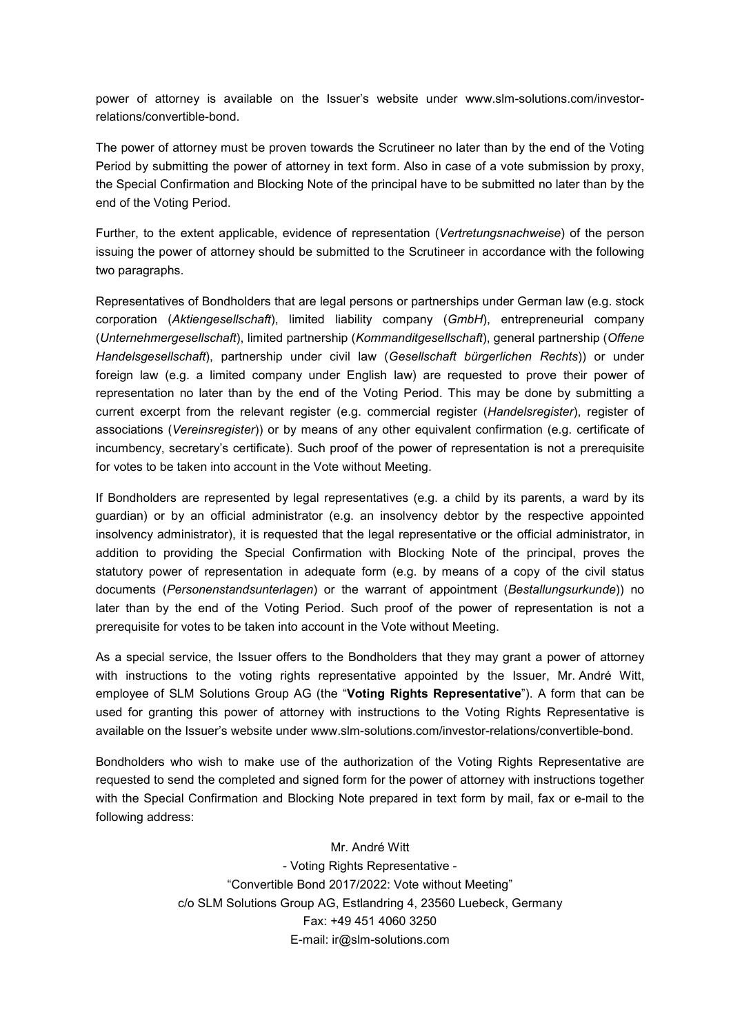power of attorney is available on the Issuer's website under www.slm-solutions.com/investorrelations/convertible-bond.

The power of attorney must be proven towards the Scrutineer no later than by the end of the Voting Period by submitting the power of attorney in text form. Also in case of a vote submission by proxy, the Special Confirmation and Blocking Note of the principal have to be submitted no later than by the end of the Voting Period.

Further, to the extent applicable, evidence of representation (*Vertretungsnachweise*) of the person issuing the power of attorney should be submitted to the Scrutineer in accordance with the following two paragraphs.

Representatives of Bondholders that are legal persons or partnerships under German law (e.g. stock corporation (*Aktiengesellschaft*), limited liability company (*GmbH*), entrepreneurial company (*Unternehmergesellschaft*), limited partnership (*Kommanditgesellschaft*), general partnership (*Offene Handelsgesellschaft*), partnership under civil law (*Gesellschaft bürgerlichen Rechts*)) or under foreign law (e.g. a limited company under English law) are requested to prove their power of representation no later than by the end of the Voting Period. This may be done by submitting a current excerpt from the relevant register (e.g. commercial register (*Handelsregister*), register of associations (*Vereinsregister*)) or by means of any other equivalent confirmation (e.g. certificate of incumbency, secretary's certificate). Such proof of the power of representation is not a prerequisite for votes to be taken into account in the Vote without Meeting.

If Bondholders are represented by legal representatives (e.g. a child by its parents, a ward by its guardian) or by an official administrator (e.g. an insolvency debtor by the respective appointed insolvency administrator), it is requested that the legal representative or the official administrator, in addition to providing the Special Confirmation with Blocking Note of the principal, proves the statutory power of representation in adequate form (e.g. by means of a copy of the civil status documents (*Personenstandsunterlagen*) or the warrant of appointment (*Bestallungsurkunde*)) no later than by the end of the Voting Period. Such proof of the power of representation is not a prerequisite for votes to be taken into account in the Vote without Meeting.

As a special service, the Issuer offers to the Bondholders that they may grant a power of attorney with instructions to the voting rights representative appointed by the Issuer. Mr. André Witt, employee of SLM Solutions Group AG (the "**Voting Rights Representative**"). A form that can be used for granting this power of attorney with instructions to the Voting Rights Representative is available on the Issuer's website under www.slm-solutions.com/investor-relations/convertible-bond.

Bondholders who wish to make use of the authorization of the Voting Rights Representative are requested to send the completed and signed form for the power of attorney with instructions together with the Special Confirmation and Blocking Note prepared in text form by mail, fax or e-mail to the following address:

> Mr. André Witt - Voting Rights Representative - "Convertible Bond 2017/2022: Vote without Meeting" c/o SLM Solutions Group AG, Estlandring 4, 23560 Luebeck, Germany Fax: +49 451 4060 3250 E-mail: ir@slm-solutions.com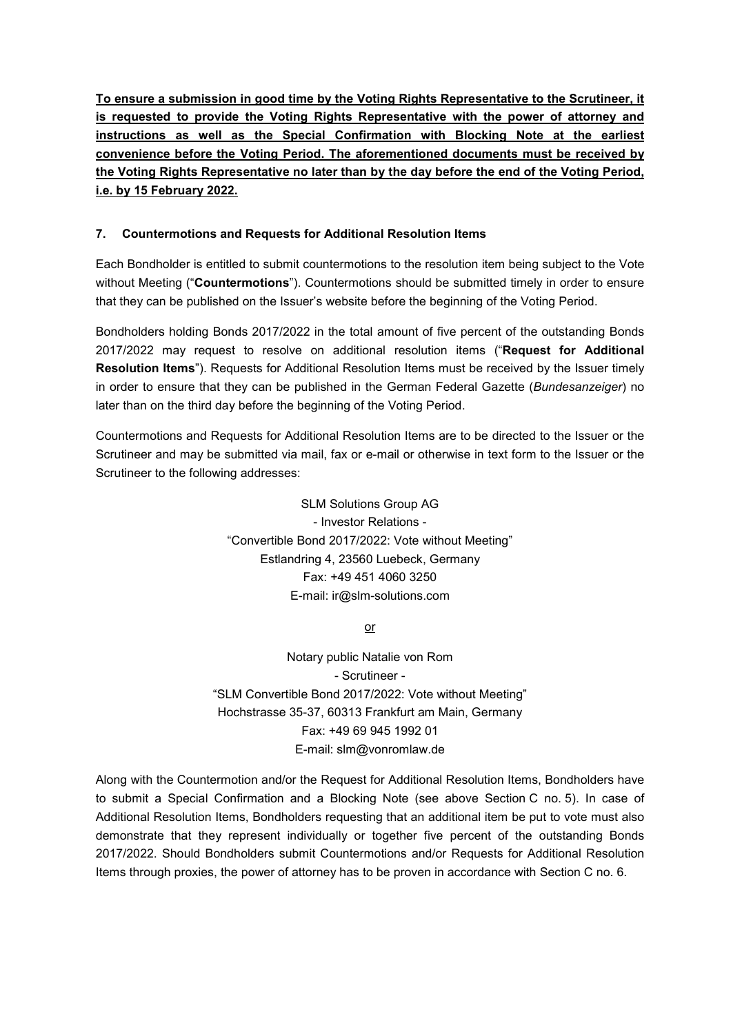**To ensure a submission in good time by the Voting Rights Representative to the Scrutineer, it is requested to provide the Voting Rights Representative with the power of attorney and instructions as well as the Special Confirmation with Blocking Note at the earliest convenience before the Voting Period. The aforementioned documents must be received by the Voting Rights Representative no later than by the day before the end of the Voting Period, i.e. by 15 February 2022.** 

# **7. Countermotions and Requests for Additional Resolution Items**

Each Bondholder is entitled to submit countermotions to the resolution item being subject to the Vote without Meeting ("**Countermotions**"). Countermotions should be submitted timely in order to ensure that they can be published on the Issuer's website before the beginning of the Voting Period.

Bondholders holding Bonds 2017/2022 in the total amount of five percent of the outstanding Bonds 2017/2022 may request to resolve on additional resolution items ("**Request for Additional Resolution Items**"). Requests for Additional Resolution Items must be received by the Issuer timely in order to ensure that they can be published in the German Federal Gazette (*Bundesanzeiger*) no later than on the third day before the beginning of the Voting Period.

Countermotions and Requests for Additional Resolution Items are to be directed to the Issuer or the Scrutineer and may be submitted via mail, fax or e-mail or otherwise in text form to the Issuer or the Scrutineer to the following addresses:

> SLM Solutions Group AG - Investor Relations - "Convertible Bond 2017/2022: Vote without Meeting" Estlandring 4, 23560 Luebeck, Germany Fax: +49 451 4060 3250 E-mail: ir@slm-solutions.com

> > or

Notary public Natalie von Rom - Scrutineer - "SLM Convertible Bond 2017/2022: Vote without Meeting" Hochstrasse 35-37, 60313 Frankfurt am Main, Germany Fax: +49 69 945 1992 01 E-mail: slm@vonromlaw.de

Along with the Countermotion and/or the Request for Additional Resolution Items, Bondholders have to submit a Special Confirmation and a Blocking Note (see above Section C no. 5). In case of Additional Resolution Items, Bondholders requesting that an additional item be put to vote must also demonstrate that they represent individually or together five percent of the outstanding Bonds 2017/2022. Should Bondholders submit Countermotions and/or Requests for Additional Resolution Items through proxies, the power of attorney has to be proven in accordance with Section C no. 6.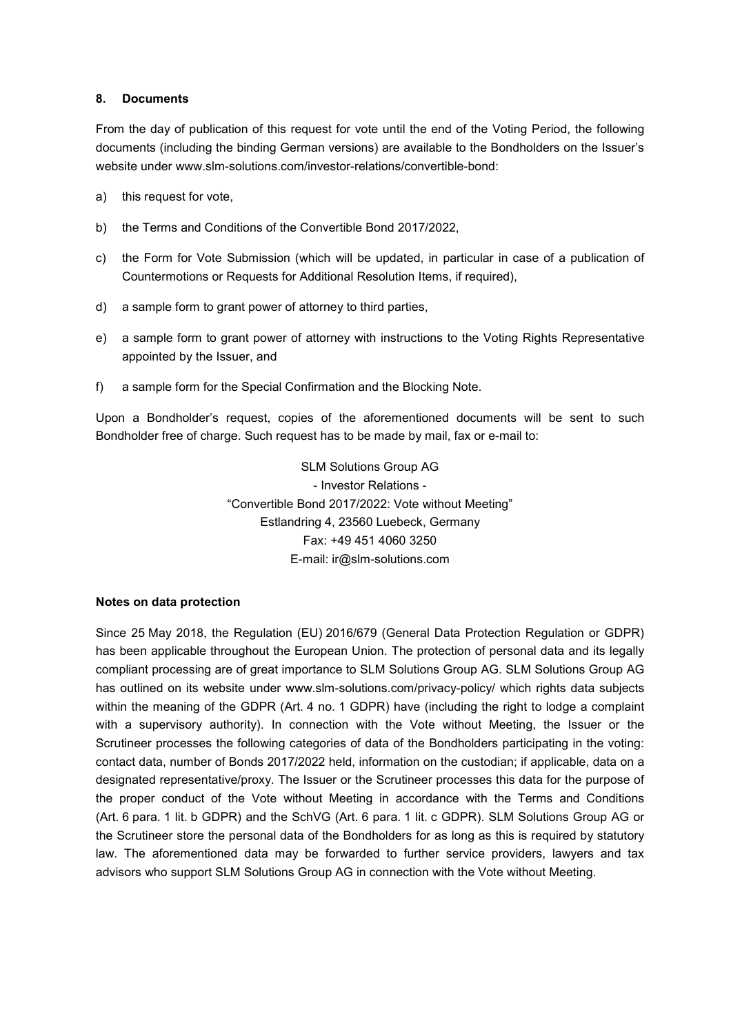#### **8. Documents**

From the day of publication of this request for vote until the end of the Voting Period, the following documents (including the binding German versions) are available to the Bondholders on the Issuer's website under www.slm-solutions.com/investor-relations/convertible-bond:

- a) this request for vote,
- b) the Terms and Conditions of the Convertible Bond 2017/2022,
- c) the Form for Vote Submission (which will be updated, in particular in case of a publication of Countermotions or Requests for Additional Resolution Items, if required),
- d) a sample form to grant power of attorney to third parties,
- e) a sample form to grant power of attorney with instructions to the Voting Rights Representative appointed by the Issuer, and
- f) a sample form for the Special Confirmation and the Blocking Note.

Upon a Bondholder's request, copies of the aforementioned documents will be sent to such Bondholder free of charge. Such request has to be made by mail, fax or e-mail to:

> SLM Solutions Group AG - Investor Relations - "Convertible Bond 2017/2022: Vote without Meeting" Estlandring 4, 23560 Luebeck, Germany Fax: +49 451 4060 3250 E-mail: ir@slm-solutions.com

### **Notes on data protection**

Since 25 May 2018, the Regulation (EU) 2016/679 (General Data Protection Regulation or GDPR) has been applicable throughout the European Union. The protection of personal data and its legally compliant processing are of great importance to SLM Solutions Group AG. SLM Solutions Group AG has outlined on its website under www.slm-solutions.com/privacy-policy/ which rights data subjects within the meaning of the GDPR (Art. 4 no. 1 GDPR) have (including the right to lodge a complaint with a supervisory authority). In connection with the Vote without Meeting, the Issuer or the Scrutineer processes the following categories of data of the Bondholders participating in the voting: contact data, number of Bonds 2017/2022 held, information on the custodian; if applicable, data on a designated representative/proxy. The Issuer or the Scrutineer processes this data for the purpose of the proper conduct of the Vote without Meeting in accordance with the Terms and Conditions (Art. 6 para. 1 lit. b GDPR) and the SchVG (Art. 6 para. 1 lit. c GDPR). SLM Solutions Group AG or the Scrutineer store the personal data of the Bondholders for as long as this is required by statutory law. The aforementioned data may be forwarded to further service providers, lawyers and tax advisors who support SLM Solutions Group AG in connection with the Vote without Meeting.